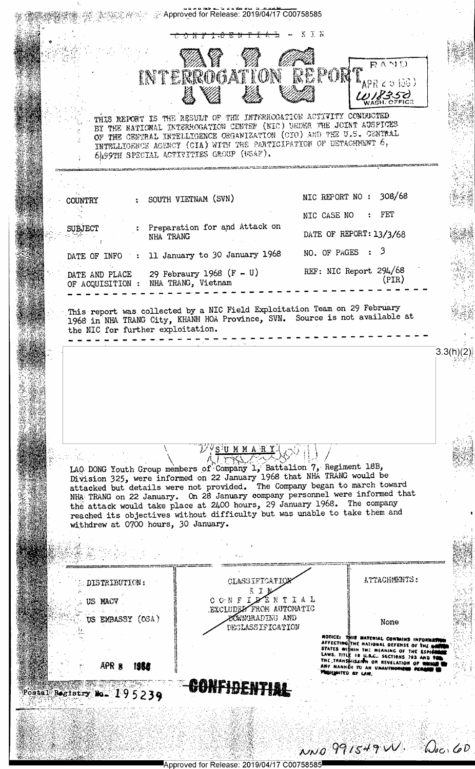|                            |                                                |                                                  | INTERROGATION REPORT.                                                                                                                                                                                                                                                                                                                                                                      |                         | $R^{\Lambda}$                                                                                                                                                                                                                                                     |           |
|----------------------------|------------------------------------------------|--------------------------------------------------|--------------------------------------------------------------------------------------------------------------------------------------------------------------------------------------------------------------------------------------------------------------------------------------------------------------------------------------------------------------------------------------------|-------------------------|-------------------------------------------------------------------------------------------------------------------------------------------------------------------------------------------------------------------------------------------------------------------|-----------|
|                            |                                                |                                                  |                                                                                                                                                                                                                                                                                                                                                                                            |                         | $^{\text{th}}$ APR 2 5 1963)<br>UNESSE                                                                                                                                                                                                                            |           |
|                            |                                                | 6AS9TH SPECIAL ACTIVITIES GROUP (USAF).          | THIS REPORT IS THE REBULT OF THE INTERROGATION ACTIVITY COMBUCTED<br>BY THE NATIONAL INTERROGATION CENTER (NIC) UNDER THE JOINT AUSPICES<br>OF THE CENTRAL INTELLIGENCE ORGANIZATION (CIO) AND THE U.S. CENTRAL<br>INTELLIGENCE AGENCY (CIA) WITH THE PARTICIPATION OF DETACHMENT 6,                                                                                                       |                         |                                                                                                                                                                                                                                                                   |           |
|                            |                                                | SOUTH VIETNAM (SVN)                              |                                                                                                                                                                                                                                                                                                                                                                                            | NIC REPORT NO : 308/68  |                                                                                                                                                                                                                                                                   |           |
| <b>COUNTRY</b>             |                                                |                                                  |                                                                                                                                                                                                                                                                                                                                                                                            | NIC CASE NO             | FET                                                                                                                                                                                                                                                               |           |
| <b>SUBJECT</b>             |                                                | Preparation for and Attack on<br>NHA TRANG       |                                                                                                                                                                                                                                                                                                                                                                                            | DATE OF REPORT: 13/3/68 |                                                                                                                                                                                                                                                                   |           |
| DATE OF INFO               | $\mathcal{L} = \mathcal{L} \times \mathcal{L}$ | 11 January to 30 January 1968                    |                                                                                                                                                                                                                                                                                                                                                                                            | NO. OF PAGES $: 3$      |                                                                                                                                                                                                                                                                   |           |
| DATE AND PLACE             | OF ACQUISITION :                               | 29 Febraury 1968 $(F - U)$<br>NHA TRANG, Vietnam |                                                                                                                                                                                                                                                                                                                                                                                            | REF: NIC Report 294/68  | (PIR)                                                                                                                                                                                                                                                             |           |
|                            | the NIC for further exploitation.              |                                                  |                                                                                                                                                                                                                                                                                                                                                                                            |                         |                                                                                                                                                                                                                                                                   | 3.3(h)(2) |
|                            |                                                |                                                  | $\mathcal{V}$ ys u m m a $\mathtt{R}$ Y.<br>LAO DONG Youth Group members of Company 1, Battalion 7, Regiment 18B,                                                                                                                                                                                                                                                                          |                         |                                                                                                                                                                                                                                                                   |           |
|                            |                                                | withdrew at 0700 hours, 30 January.              | Division 325, were informed on 22 January 1968 that NHA TRANG would be<br>attacked but details were not provided. The Company began to march toward<br>NHA TRANG on 22 January. On 28 January company personnel were informed that<br>the attack would take place at 2400 hours, 29 January 1968. The company<br>reached its objectives without difficulty but was unable to take them and |                         |                                                                                                                                                                                                                                                                   |           |
|                            |                                                |                                                  |                                                                                                                                                                                                                                                                                                                                                                                            |                         |                                                                                                                                                                                                                                                                   |           |
|                            | DISTRIBUTION:                                  |                                                  | CLASSIFICATIO<br>8 I I                                                                                                                                                                                                                                                                                                                                                                     |                         | ATTACHMENTS:                                                                                                                                                                                                                                                      |           |
|                            | US MACV<br>US EMBASSY (OSA)                    |                                                  | CONFIDENTIAL<br>EXCLUDED FROM AUTOMATIC<br><b>ZÓWNGRADING AND</b><br>DECLASSIFICATION                                                                                                                                                                                                                                                                                                      |                         | None                                                                                                                                                                                                                                                              |           |
|                            | APR 8<br><u> 1958 </u>                         |                                                  |                                                                                                                                                                                                                                                                                                                                                                                            |                         | HOTICE: THIS MATERIAL CONTAINS INFORME<br>AFFECTING THE NATIONAL DEFENSE OF THE MI<br>STATES WITHIN THE MEANING OF THE ESPICION<br>LAWS. TITLE IS U.S.C. SECTIONS 793 AND PALL<br>THE TRANSHISSION OR REVELATION OF WHICH I<br>ANY MANNÉR TO AN UNAUTHORIES PERSO |           |
| Postal Registry No. 195239 |                                                |                                                  | <u>ipinentiai</u>                                                                                                                                                                                                                                                                                                                                                                          |                         |                                                                                                                                                                                                                                                                   |           |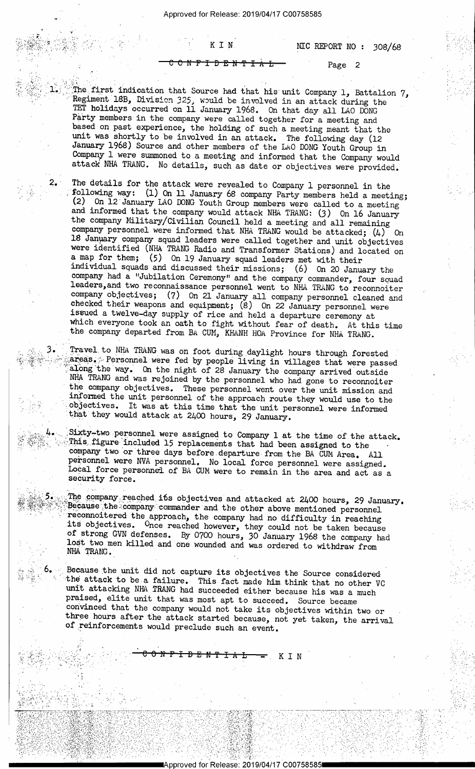0

¢~ ' <sup>r</sup>\'. C 'H

 $1.5$  ,  $\sim$   $\sim$ 

2.

 $\sim$  3. 1. )E'.':\*Z'\_'~ ' 5;' Y» ' '

\_ =.2:'  $\ddot{\phantom{a}}$  $\mathbb{R} \otimes \mathbb{R}^4$  :

 $\mathcal{L}^{\mathcal{L}}$  . The  $\mathcal{L}^{\mathcal{L}}$  and  $\mathcal{L}^{\mathcal{L}}$  $\mathcal{L} \subset \mathcal{L} \subset \mathcal{L}$ 

,,.\_.

 $6.$ 

' .'~..~":, ~.'  $.$  We set that  $\mathcal{H}_1$  ) .  $\mathcal{H}_2$  ,  $\mathcal{H}_3$  ,  $\mathcal{H}_4$  ,  $\mathcal{H}_5$  ,  $\mathcal{H}_6$  ,  $\mathcal{H}_7$  ,  $\mathcal{H}_8$  , T'.-I-:'»'~'.'=':.' .1'-§'~

'1'"-.1 ..-,\_> \_ . .~

 $\ddot{\phantom{1}}$ 

; ,;\_.'\_;» -'-5:. -;:.= .-\_~'=\_5;;;z,-. ,.,g-

 $\mathcal{P}_\mathrm{c}$  in 2  $\mathcal{P}_\mathrm{c}$ 

 $: -$ 

 $=$   $\frac{1}{2}$   $\frac{1}{2}$   $\frac{1}{2}$   $\frac{1}{2}$   $\frac{1}{2}$   $\frac{1}{2}$   $\frac{1}{2}$   $\frac{1}{2}$   $\frac{1}{2}$   $\frac{1}{2}$   $\frac{1}{2}$   $\frac{1}{2}$   $\frac{1}{2}$   $\frac{1}{2}$   $\frac{1}{2}$   $\frac{1}{2}$   $\frac{1}{2}$   $\frac{1}{2}$   $\frac{1}{2}$   $\frac{1}{2}$   $\frac{1}{2}$   $\frac{1}{2$ 

.->

;g&2@ca\$\*\*\*;g\$\$##;g\$#########################

;. '\_.g»V'\_ .

'~

'j .-~..~~

. ~\_~'-':?';1"Z\_.\_:.>;,,\_.1

., . - . 1 \*\*

 $\mathcal{P} = \{ \mathcal{P} \in \mathcal{P} \mid \mathcal{P} \in \mathcal{P} \}$ 

-'<.

":= -'

.(1) 가수가 있습니다. 2010년 : 가수화복 사회, 가수 화재 사회 기능 이 시간이 있어 보이지 않는데요. (1) 이 시간이 있는 것이 있습니다.

" '6 <sup>l</sup>

\ <>- ' .:>' .-;\_'.-='.¢;- -2.11-:

1<-;=-.\,;¢.;..--;;,-g.--,-qw; --..-, \_.~. \_ , . --';\_-.;(. ~ 4 .\_--- -

<del>IDENTIAL Page</del>2

The first indication that Source had that his unit Company 1, Battalion 7, Regiment 18B, Division 325, would be involved in an attack during the TET holidays occurred on 11 January 1968. On that day all LAO DONG Party memb

The details for the attack were revealed to Company 1 personnel in the following way: (1) On 11 January 68 company Party members held a meeting; (2) On 12 January LAO DONG Youth Group members were called to a meeting and company had a "Jubilation Ceremony" and the company commander, four souad leaders, and two reconnaissance personnel went to NHA TRANG to reconnoiter company objectives; (7) On 21 January all company personnel cleaned and c

Travel to NHA TRANG was on foot during daylight hours through forested<br>areas. Personnel were fed by people living in villages that were passed<br>along the way. On the night of 28 January the company arrived outside<br>NHA TRANG

This figure included 15 replacements that had been assigned to the company two or three days before departure from the BA CUM Area. All Sixty-two personnel were assigned to Company 1 at the time of the attack. personnel were NVA personnel. No local force personnel were assigned.<br>Local force personnel of BA CUM were to remain in the area and act as a security force.

5. The company reached its objectives and attacked at 2400 hours, 29 January. Because the company commander and the other above mentioned personnel<br>reconnoitered the approach, the company had no difficulty in reaching<br>its objectives. Once reached however, they could not be taken because<br>of strong GV

Because the unit did not capture its objectives the Source considered<br>the attack to be a failure. This fact made him think that no other VC<br>unit attacking NHA TRANG had succeeded either because his was a much<br>praised, elit

 $\mathbb{R}^{\mathbb{N}}_{\mathbb{R}^{\mathbb{N}}_{\mathbb{R}^{\mathbb{N}}_{\mathbb{R}^{\mathbb{N}}_{\mathbb{R}^{\mathbb{N}}_{\mathbb{R}^{\mathbb{N}}_{\mathbb{R}^{\mathbb{N}}_{\mathbb{R}^{\mathbb{N}}_{\mathbb{R}^{\mathbb{N}}_{\mathbb{R}^{\mathbb{N}}_{\mathbb{R}^{\mathbb{N}}_{\mathbb{R}^{\mathbb{N}}_{\mathbb{R}^{\mathbb{N}}_{\mathbb{R}^{\mathbb{N}}_{\mathbb{R}^{\mathbb{N}}_{\mathbb{R}^{\mathbb$ 

. 'E:aw;1:3.'-.£;;f.i§,1:\_;':t M ,\_\_' Z. ',1 .v

\_ \_ .\_\_\_.,.\_.\_..\_\_..,\_,,\_>,--;--\_\_,-7'.-<~-33. <sup>1</sup>trrirrfifivwawsmzwaa ~~~~~~~~~a. - ~ ~.~»».~~-A ~a» »<

,-"n'.\*'.- .\_'=-;..\_-" -\_;'.~~,-\_-\_~- ' '- '- .> '. -- 1 - .. '- 1 -~ 'I '- -= .- :'. :~ \_.,: -:.\_ \_:\_.-.~a- -\_ .. \_ . . ,

'- :" EB:-.-I-.1 .\_.

um. '

-'..'.:;'?;';"'- <\_ , -' \_ -. :';.-.-  $\mathcal{A}$  is a sequence of  $\mathcal{A}$  . The interaction of  $\mathcal{A}$ 

\_ \_ t

. » ATA RAL » (1995–1996) ATA (1996–1997–1998) ATA (1997–1998–1998–1998) ATA (1997–1998)

 $-10$  ,  $-10$  ,  $-10$  ,  $-10$  ,  $-10$  ,  $-10$  ,  $-10$  ,  $-10$  ,  $-10$ 

\_ \_ -V .\_ .. . =-.-g»-1.;'¢--r.-:1-:-\_'.~-'-.=-;-'- .- » .~ ,- . -.-. .= » --\_- : <sup>~</sup> j-\_ 1999 (1999) - 1999 (1999) - 1999 (1999) - 1999 (1999) - 1999 (1999) - 1999 (1999) - 1999 (1999) - 1999 (19

 $\sim$ 

 $\mathcal{L}=\mathcal{L}=\mathcal{L}$ 

1 .- ,

- ,~-

1 \_\_; <sup>I</sup>

 $\sim$  Y  $\sim$  1241.25  $\times$  1252.47  $\times$  12

. The set of the set of the set of the set of the set of the set of the set of the set of the set of the set of the set of the set of the set of the set of the set of the set of the set of the set of the set of the set of

 $\cdot$